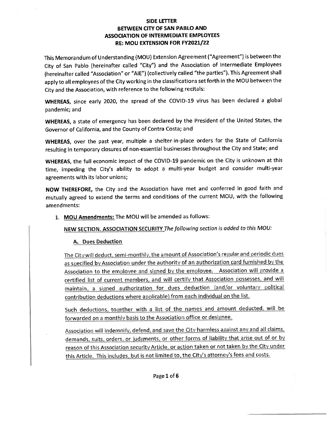This Memorandum of Understanding(MOU) Extension Agreement ("Agreement") is between the City of San Pablo (hereinafter called "City") and the Association of Intermediate Employees Ihereinafter called "Association" or "AIE") (collectively called "the parties"). This Agreement shall apply to all employees of the City working in the classifications set forth in the MOU between the City and the Association, with reference to the following recitals:

WHEREAS, since early 2020, the spread of the COVID-19 virus has been declared a global pandemic; and

WHEREAS, a state of emergency has been declared by the President of the United States, the Governor of California, and the County of Contra Costa; and

WHEREAS, over the past year, multiple a shelter-in-place orders for the State of California resulting in temporary closures of non-essential businesses throughout the City and State; and

WHEREAS, the full economic impact of the COVID-19 pandemic on the City is unknown at this time, impeding the City's ability to adopt a multi-year budget and consider multi-year agreements with its labor unions;

NOW THEREFORE, the City and the Association have met and conferred in good faith and mutually agreed to extend the terms and conditions of the current MOU, with the following amendments:

# 1. MOU Amendments: The MOU will be amended as follows:

NEW SECTION. ASSOCIATION SECURITY The following section is added to this MOU:

## A. Dues Deduction

The City will deduct, semi-monthly, the amount of Association's regular and periodic dues as specified by Association under the authority of an authorization card furnished by the Association to the employee and signed by the employee. Association will provide a certified list of current members, and will certify that Association possesses, and will maintain, a signed authorization for dues deduction (and/or voluntary political contribution deductions where applicable) from each individual on the list.

Such deductions, together with a list of the names and amount deducted, will be forwarded on a monthly basis to the Association office or designee.

Association will indemnify, defend, and save the City harmless against any and all claims. demands, suits, orders, or judgments, or other forms of liability that arise out of or by reason of this Association security Article, or action taken or not taken by the City under this Article. This includes, but is not limited to, the City's attorney's fees and costs.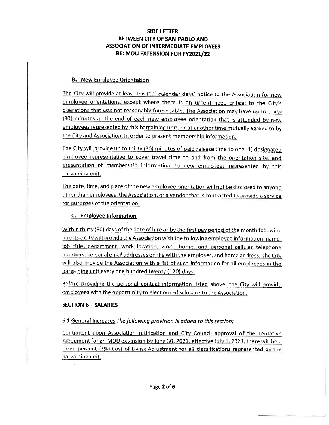#### **B.** New Employee Orientation

The City will provide at least ten (10) calendar days' notice to the Association for new employee orientations, except where there is an urgent need critical to the City's operations that was not reasonably foreseeable. The Association may have up to thirty (30) minutes at the end of each new employee orientation that is attended by new employees represented by this bargaining unit, or at another time mutually agreed to by the City and Association, in order to present membership information.

The City will provide up to thirty (30) minutes of paid release time to one (1) designated employee representative to cover travel time to and from the orientation site, and presentation of membership information to new employees represented by this bargaining unit.

The date, time, and place of the new employee orientation will not be disclosed to anyone other than employees, the Association, or a vendor that is contracted to provide a service for purposes of the orientation.

## C. Employee Information

Within thirty (30) days of the date of hire or by the first pay period of the month following hire, the City will provide the Association with the following employee information: name, job title, department, work location, work, home, and personal cellular telephone numbers, personal email addresses on file with the employer, and home address. The City will also provide the Association with a list of such information for all employees in the bargaining unit every one hundred twenty (120) days.

Before providing the personal contact information listed above, the City will provide employees with the opportunity to elect non-disclosure to the Association.

### **SECTION 6 - SALARIES**

### 6.1 General Increases The following provision is added to this section:

Contingent upon Association ratification and City Council approval of the Tentative Agreement for an MOU extension by June 30, 2021, effective July 1, 2021, there will be a three percent (3%) Cost of Living Adjustment for all classifications represented by the bargaining unit.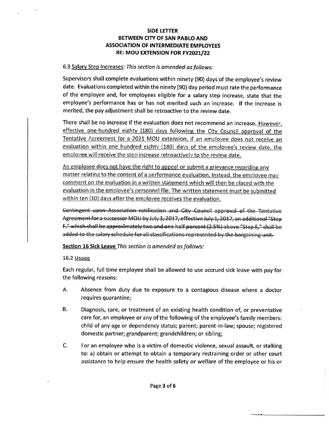#### 6.3 Salary Step Increases: This section is amended as follows:

Supervisors shall complete evaluations within ninety (90) days of the employee's review date. Evaluations completed within the ninety (90) day period must rate the performance of the employee and, for employees eligible for a salary step increase, state that the employee's performance has or has not merited such an increase. If the increase is merited, the pay adjustment shall be retroactive to the review date.

There shall be no increase if the evaluation does not recommend an increase. However, effective one-hundred eighty (180) days following the City Council approval of the Tentative Agreement for a 2021 MOU extension, if an employee does not receive an evaluation within one hundred eighty (180) days of the employee's review date, the employee will receive the step increase retroactively to the review date.

An employee does not have the right to appeal or submit a grievance regarding any matter relating to the content of a performance evaluation. Instead, the employee may comment on the evaluation in a written statement which will then be placed with the evaluation in the employee's personnel file. The written statement must be submitted within ten (10) days after the employee receives the evaluation.

Contingent upon-Association ratification and City Council approval of the Tentative Agreement for a successor MOU by July 3, 2017, effective July 1, 2017, an additional "Step F," which shall be approximately two and one half percent (2.5%) above "Step E," shall be added to the salary schedule for all classifications represented by the bargaining unit.

#### Section 16 Sick Leave This section is amended as follows:

#### 16.2 Usage

Each regular, full time employee shall be allowed to use accrued sick leave with pay for the following reasons:

- A Absence from duty due to exposure to a contagious disease where a doctor requires quarantine;
- B. Diagnosis, care, or treatment of an existing health condition of, or preventative care for, an employee or any of the following of the employee's family members: child of any age or dependency status; parent; parent-in-law; spouse; registered domestic partner; grandparent; grandchildren; or sibling;
- C. For an employee who is a victim of domestic violence, sexual assault, or stalking to: a) obtain or attempt to obtain a temporary restraining order or other court assistance to help ensure the health safety or welfare of the employee or his or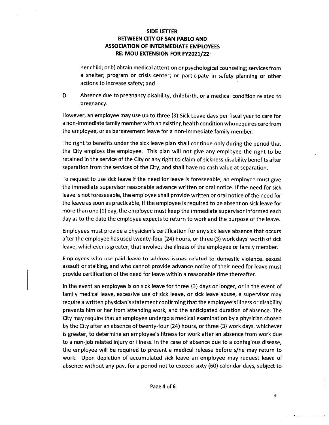her child; or b) obtain medical attention or psychological counseling; services from a shelter; program or crisis center; or participate in safety planning or other actions to increase safety; and

D. Absence due to pregnancy disability, childbirth, or a medical condition related to pregnancy.

However, an employee may use up to three (3) Sick Leave days per fiscal year to care for a non-immediate family member with an existing health condition who requires care from the employee, or as bereavement leave for a non-immediate family member.

The right to benefits under the sick leave plan shall continue only during the period that the City employs the employee. This plan will not give any employee the right to be retained in the service of the City or any right to claim of sickness disability benefits after separation from the services of the City, and shall have no cash value at separation.

To request to use sick leave if the need for leave is foreseeable, an employee must give the immediate supervisor reasonable advance written or oral notice. If the need for sick leave is not foreseeable, the employee shall provide written or oral notice of the need for the leave as soon as practicable, if the employee is required to be absent on sick leave for more than one(1) day, the employee must keep the immediate supervisor informed each day as to the date the employee expects to return to work and the purpose of the leave

Employees must provide a physician's certification for any sick leave absence that occurs after the employee has used twenty-four(24) hours, or three(3) work days' worth of sick leave, whichever is greater, that involves the illness of the employee or family member.

Employees who use paid leave to address issues related to domestic violence, sexual assault or stalking, and who cannot provide advance notice of their need for leave must provide certification of the need for leave within a reasonable time thereafter.

In the event an employee is on sick leave for three (3) days or longer, or in the event of family medical leave, excessive use of sick leave, or sick leave abuse, a supervisor may require a written physician's statement confirming that the employee's illness or disability prevents him or her from attending work, and the anticipated duration of absence. The City may require that an employee undergo a medical examination by a physician chosen by the City after an absence of twenty-four (24) hours, or three (3) work days, whichever is greater, to determine an employee's fitness for work after an absence from work due to a non-job related injury or illness. In the case of absence due to a contagious disease, the employee will be required to present a medical release before s/he may return to work. Upon depletion af accumulated sick leave an employee may request leave of absence without any pay, for a period not to exceed sixty (60) calendar days, subject to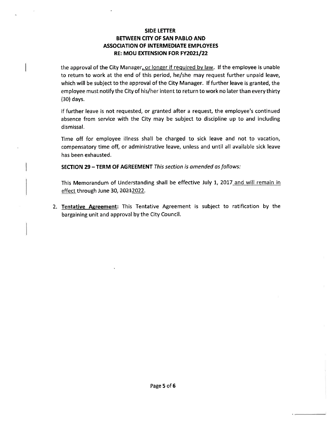the approval of the City Manager, or longer if required by law. If the employee is unable to return to work at the end of this period, he/she may request further unpaid leave, which will be subject to the approval of the City Manager. If further leave is granted, the employee must notify the City of his/her intent to return to work no later than every thirty l30) days.

If further leave is not requested, or granted after a request, the employee's continued absence from service with the City may be subject to discipline up to and including dismissal.

Time off for employee illness shall be charged to sick leave and not to vacation, compensatory time off, or administrative leave, unless and until all available sick leave has been exhausted.

SECTION 29 - TERM OF AGREEMENT This section is amended as follows:

This Memorandum of Understanding shall be effective July 1, 2017 and will remain in effect through June 30, 20212022.

2. Tentative Agreement: This Tentative Agreement is subject to ratification by the bargaining unit and approval by the City Council.